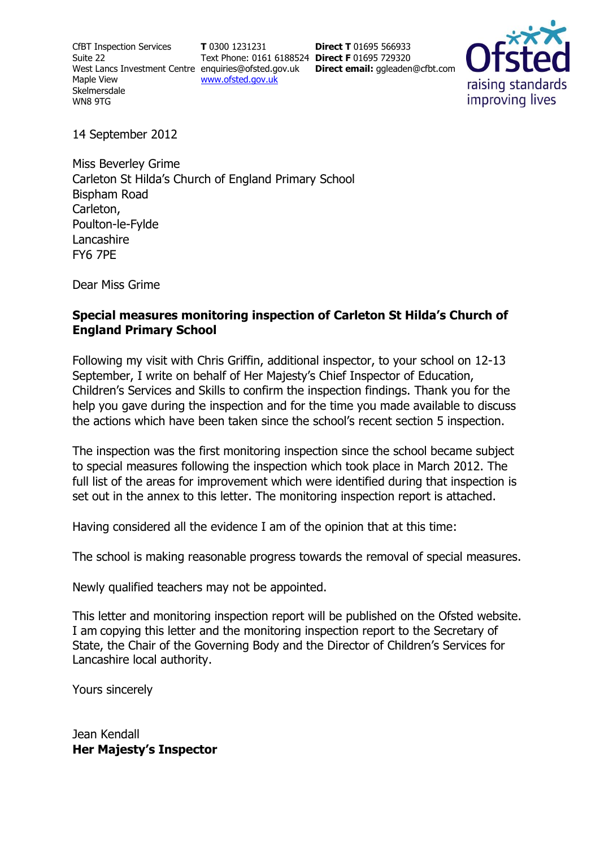CfBT Inspection Services Suite 22 Maple View **Skelmersdale** WN8 9TG

**T** 0300 1231231 Text Phone: 0161 6188524 **Direct F** 01695 729320 [www.ofsted.gov.uk](http://www.ofsted.gov.uk/)

West Lancs Investment Centre [enquiries@ofsted.gov.uk](http://mailto:enquiries@ofsted.gov.uk/) **Direct email:** ggleaden@cfbt.com **Direct T** 01695 566933



14 September 2012

Miss Beverley Grime Carleton St Hilda's Church of England Primary School Bispham Road Carleton, Poulton-le-Fylde Lancashire FY6 7PE

Dear Miss Grime

#### **Special measures monitoring inspection of Carleton St Hilda's Church of England Primary School**

Following my visit with Chris Griffin, additional inspector, to your school on 12-13 September, I write on behalf of Her Majesty's Chief Inspector of Education, Children's Services and Skills to confirm the inspection findings. Thank you for the help you gave during the inspection and for the time you made available to discuss the actions which have been taken since the school's recent section 5 inspection.

The inspection was the first monitoring inspection since the school became subject to special measures following the inspection which took place in March 2012. The full list of the areas for improvement which were identified during that inspection is set out in the annex to this letter. The monitoring inspection report is attached.

Having considered all the evidence I am of the opinion that at this time:

The school is making reasonable progress towards the removal of special measures.

Newly qualified teachers may not be appointed.

This letter and monitoring inspection report will be published on the Ofsted website. I am copying this letter and the monitoring inspection report to the Secretary of State, the Chair of the Governing Body and the Director of Children's Services for Lancashire local authority.

Yours sincerely

Jean Kendall **Her Majesty's Inspector**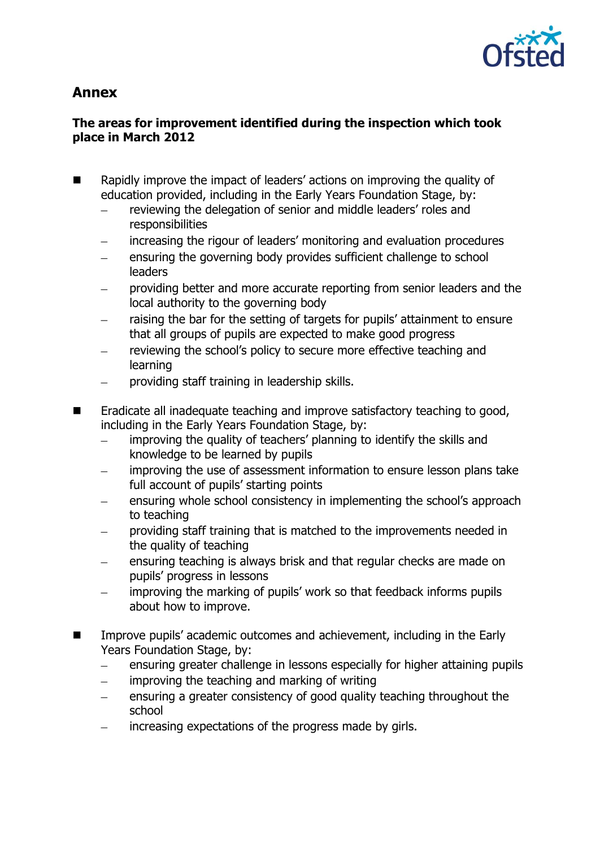

# **Annex**

## **The areas for improvement identified during the inspection which took place in March 2012**

- Rapidly improve the impact of leaders' actions on improving the quality of education provided, including in the Early Years Foundation Stage, by:
	- reviewing the delegation of senior and middle leaders' roles and responsibilities
	- increasing the rigour of leaders' monitoring and evaluation procedures
	- ensuring the governing body provides sufficient challenge to school leaders
	- providing better and more accurate reporting from senior leaders and the local authority to the governing body
	- raising the bar for the setting of targets for pupils' attainment to ensure that all groups of pupils are expected to make good progress
	- reviewing the school's policy to secure more effective teaching and learning
	- providing staff training in leadership skills.  $\equiv$
- Eradicate all inadequate teaching and improve satisfactory teaching to good, including in the Early Years Foundation Stage, by:
	- improving the quality of teachers' planning to identify the skills and knowledge to be learned by pupils
	- improving the use of assessment information to ensure lesson plans take full account of pupils' starting points
	- ensuring whole school consistency in implementing the school's approach to teaching
	- providing staff training that is matched to the improvements needed in the quality of teaching
	- ensuring teaching is always brisk and that regular checks are made on pupils' progress in lessons
	- improving the marking of pupils' work so that feedback informs pupils about how to improve.
- Improve pupils' academic outcomes and achievement, including in the Early Years Foundation Stage, by:
	- ensuring greater challenge in lessons especially for higher attaining pupils  $\equiv$
	- improving the teaching and marking of writing
	- ensuring a greater consistency of good quality teaching throughout the  $\frac{1}{2}$ school
	- increasing expectations of the progress made by girls.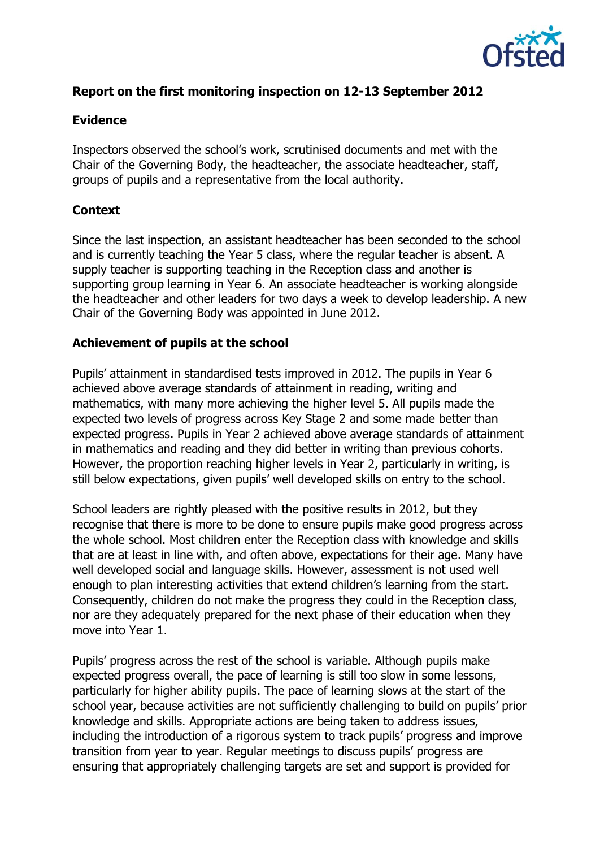

## **Report on the first monitoring inspection on 12-13 September 2012**

#### **Evidence**

Inspectors observed the school's work, scrutinised documents and met with the Chair of the Governing Body, the headteacher, the associate headteacher, staff, groups of pupils and a representative from the local authority.

### **Context**

Since the last inspection, an assistant headteacher has been seconded to the school and is currently teaching the Year 5 class, where the regular teacher is absent. A supply teacher is supporting teaching in the Reception class and another is supporting group learning in Year 6. An associate headteacher is working alongside the headteacher and other leaders for two days a week to develop leadership. A new Chair of the Governing Body was appointed in June 2012.

#### **Achievement of pupils at the school**

Pupils' attainment in standardised tests improved in 2012. The pupils in Year 6 achieved above average standards of attainment in reading, writing and mathematics, with many more achieving the higher level 5. All pupils made the expected two levels of progress across Key Stage 2 and some made better than expected progress. Pupils in Year 2 achieved above average standards of attainment in mathematics and reading and they did better in writing than previous cohorts. However, the proportion reaching higher levels in Year 2, particularly in writing, is still below expectations, given pupils' well developed skills on entry to the school.

School leaders are rightly pleased with the positive results in 2012, but they recognise that there is more to be done to ensure pupils make good progress across the whole school. Most children enter the Reception class with knowledge and skills that are at least in line with, and often above, expectations for their age. Many have well developed social and language skills. However, assessment is not used well enough to plan interesting activities that extend children's learning from the start. Consequently, children do not make the progress they could in the Reception class, nor are they adequately prepared for the next phase of their education when they move into Year 1.

Pupils' progress across the rest of the school is variable. Although pupils make expected progress overall, the pace of learning is still too slow in some lessons, particularly for higher ability pupils. The pace of learning slows at the start of the school year, because activities are not sufficiently challenging to build on pupils' prior knowledge and skills. Appropriate actions are being taken to address issues, including the introduction of a rigorous system to track pupils' progress and improve transition from year to year. Regular meetings to discuss pupils' progress are ensuring that appropriately challenging targets are set and support is provided for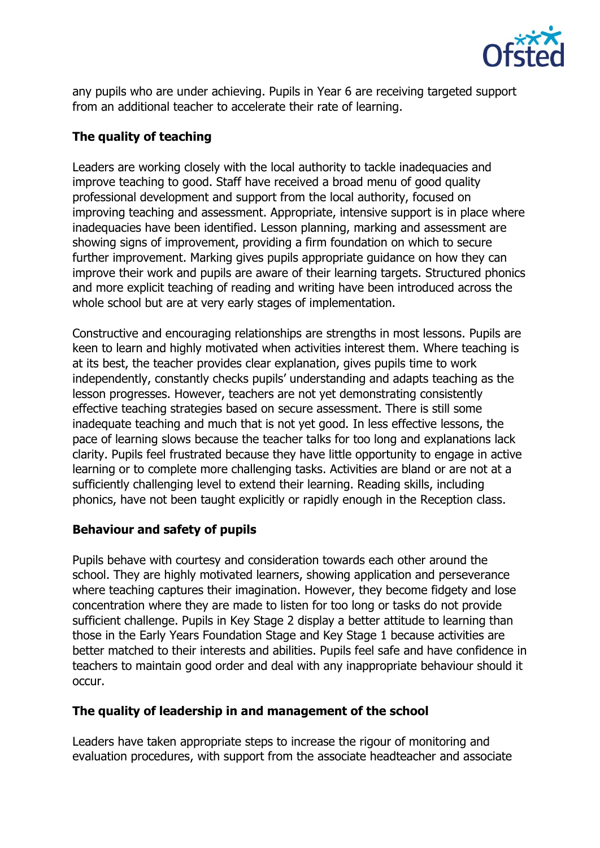

any pupils who are under achieving. Pupils in Year 6 are receiving targeted support from an additional teacher to accelerate their rate of learning.

## **The quality of teaching**

Leaders are working closely with the local authority to tackle inadequacies and improve teaching to good. Staff have received a broad menu of good quality professional development and support from the local authority, focused on improving teaching and assessment. Appropriate, intensive support is in place where inadequacies have been identified. Lesson planning, marking and assessment are showing signs of improvement, providing a firm foundation on which to secure further improvement. Marking gives pupils appropriate guidance on how they can improve their work and pupils are aware of their learning targets. Structured phonics and more explicit teaching of reading and writing have been introduced across the whole school but are at very early stages of implementation.

Constructive and encouraging relationships are strengths in most lessons. Pupils are keen to learn and highly motivated when activities interest them. Where teaching is at its best, the teacher provides clear explanation, gives pupils time to work independently, constantly checks pupils' understanding and adapts teaching as the lesson progresses. However, teachers are not yet demonstrating consistently effective teaching strategies based on secure assessment. There is still some inadequate teaching and much that is not yet good. In less effective lessons, the pace of learning slows because the teacher talks for too long and explanations lack clarity. Pupils feel frustrated because they have little opportunity to engage in active learning or to complete more challenging tasks. Activities are bland or are not at a sufficiently challenging level to extend their learning. Reading skills, including phonics, have not been taught explicitly or rapidly enough in the Reception class.

## **Behaviour and safety of pupils**

Pupils behave with courtesy and consideration towards each other around the school. They are highly motivated learners, showing application and perseverance where teaching captures their imagination. However, they become fidgety and lose concentration where they are made to listen for too long or tasks do not provide sufficient challenge. Pupils in Key Stage 2 display a better attitude to learning than those in the Early Years Foundation Stage and Key Stage 1 because activities are better matched to their interests and abilities. Pupils feel safe and have confidence in teachers to maintain good order and deal with any inappropriate behaviour should it occur.

## **The quality of leadership in and management of the school**

Leaders have taken appropriate steps to increase the rigour of monitoring and evaluation procedures, with support from the associate headteacher and associate